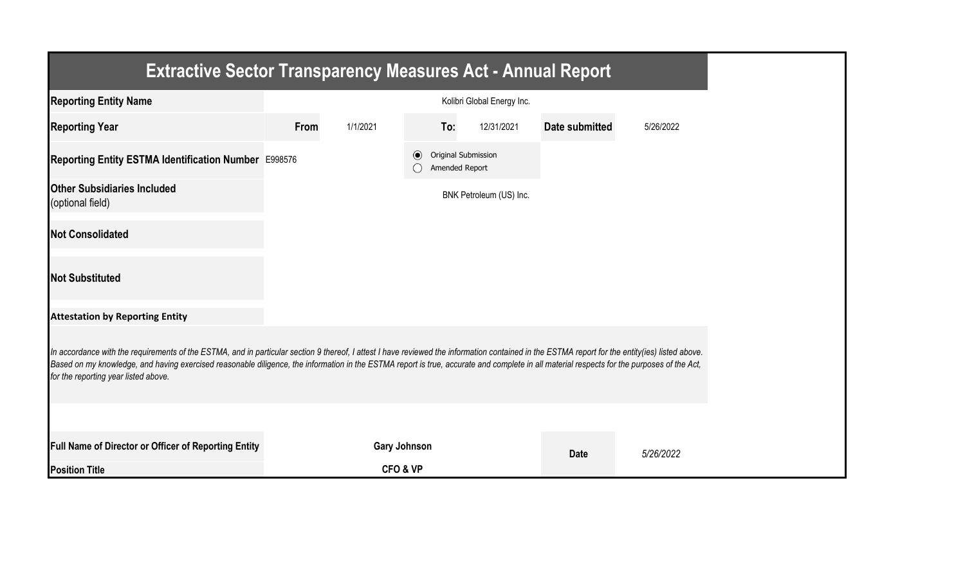| <b>Extractive Sector Transparency Measures Act - Annual Report</b>                                                                                                                                                                                                                                                                                                                                                                    |      |                     |         |                |                            |                       |           |
|---------------------------------------------------------------------------------------------------------------------------------------------------------------------------------------------------------------------------------------------------------------------------------------------------------------------------------------------------------------------------------------------------------------------------------------|------|---------------------|---------|----------------|----------------------------|-----------------------|-----------|
| <b>Reporting Entity Name</b>                                                                                                                                                                                                                                                                                                                                                                                                          |      |                     |         |                | Kolibri Global Energy Inc. |                       |           |
| <b>Reporting Year</b>                                                                                                                                                                                                                                                                                                                                                                                                                 | From | 1/1/2021            |         | To:            | 12/31/2021                 | <b>Date submitted</b> | 5/26/2022 |
| Reporting Entity ESTMA Identification Number E998576                                                                                                                                                                                                                                                                                                                                                                                  |      |                     | $\odot$ | Amended Report | Original Submission        |                       |           |
| <b>Other Subsidiaries Included</b><br>(optional field)                                                                                                                                                                                                                                                                                                                                                                                |      |                     |         |                | BNK Petroleum (US) Inc.    |                       |           |
| <b>Not Consolidated</b>                                                                                                                                                                                                                                                                                                                                                                                                               |      |                     |         |                |                            |                       |           |
| <b>Not Substituted</b>                                                                                                                                                                                                                                                                                                                                                                                                                |      |                     |         |                |                            |                       |           |
| <b>Attestation by Reporting Entity</b>                                                                                                                                                                                                                                                                                                                                                                                                |      |                     |         |                |                            |                       |           |
| In accordance with the requirements of the ESTMA, and in particular section 9 thereof, I attest I have reviewed the information contained in the ESTMA report for the entity(ies) listed above.<br>Based on my knowledge, and having exercised reasonable diligence, the information in the ESTMA report is true, accurate and complete in all material respects for the purposes of the Act,<br>for the reporting year listed above. |      |                     |         |                |                            |                       |           |
|                                                                                                                                                                                                                                                                                                                                                                                                                                       |      |                     |         |                |                            |                       |           |
| Full Name of Director or Officer of Reporting Entity                                                                                                                                                                                                                                                                                                                                                                                  |      | <b>Gary Johnson</b> |         |                |                            | <b>Date</b>           | 5/26/2022 |
| <b>Position Title</b>                                                                                                                                                                                                                                                                                                                                                                                                                 |      | CFO & VP            |         |                |                            |                       |           |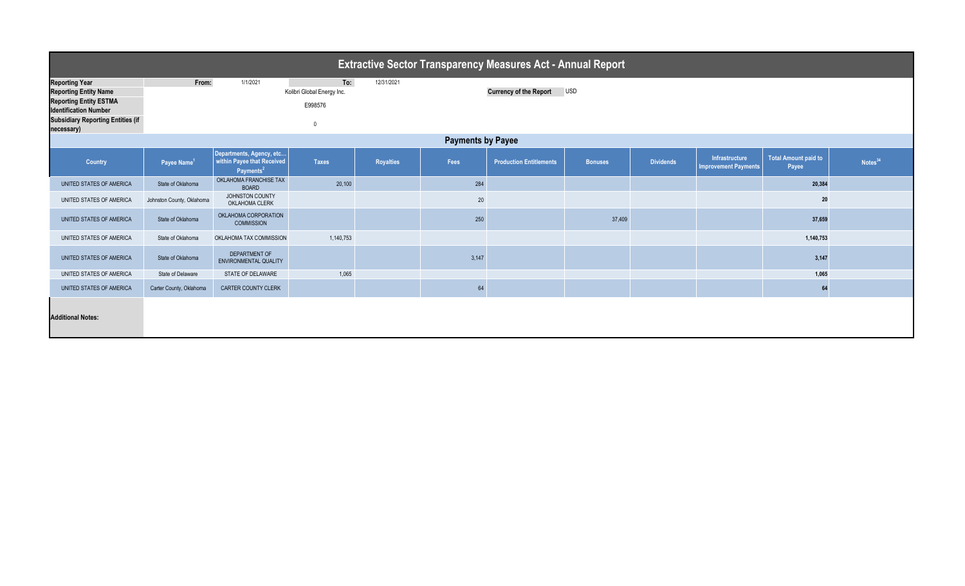| <b>Extractive Sector Transparency Measures Act - Annual Report</b>                                                                                                               |                                                                                                                                            |                                                                                 |              |                  |       |                                |                |                  |                                               |                               |                     |  |
|----------------------------------------------------------------------------------------------------------------------------------------------------------------------------------|--------------------------------------------------------------------------------------------------------------------------------------------|---------------------------------------------------------------------------------|--------------|------------------|-------|--------------------------------|----------------|------------------|-----------------------------------------------|-------------------------------|---------------------|--|
| <b>Reporting Year</b><br><b>Reporting Entity Name</b><br><b>Reporting Entity ESTMA</b><br><b>Identification Number</b><br><b>Subsidiary Reporting Entities (if</b><br>necessary) | From:<br>To:<br>1/1/2021<br>12/31/2021<br><b>USD</b><br>Kolibri Global Energy Inc.<br><b>Currency of the Report</b><br>E998576<br>$\Omega$ |                                                                                 |              |                  |       |                                |                |                  |                                               |                               |                     |  |
| <b>Payments by Payee</b>                                                                                                                                                         |                                                                                                                                            |                                                                                 |              |                  |       |                                |                |                  |                                               |                               |                     |  |
| Country                                                                                                                                                                          | Payee Name <sup>1</sup>                                                                                                                    | Departments, Agency, etc<br>within Payee that Received<br>Payments <sup>2</sup> | <b>Taxes</b> | <b>Royalties</b> | Fees  | <b>Production Entitlements</b> | <b>Bonuses</b> | <b>Dividends</b> | Infrastructure<br><b>Improvement Payments</b> | Total Amount paid to<br>Payee | Notes <sup>34</sup> |  |
| UNITED STATES OF AMERICA                                                                                                                                                         | State of Oklahoma                                                                                                                          | OKLAHOMA FRANCHISE TAX<br><b>BOARD</b>                                          | 20,100       |                  | 284   |                                |                |                  |                                               | 20,384                        |                     |  |
| UNITED STATES OF AMERICA                                                                                                                                                         | Johnston County, Oklahoma                                                                                                                  | JOHNSTON COUNTY<br>OKLAHOMA CLERK                                               |              |                  | 20    |                                |                |                  |                                               | 20                            |                     |  |
| UNITED STATES OF AMERICA                                                                                                                                                         | State of Oklahoma                                                                                                                          | OKLAHOMA CORPORATION<br><b>COMMISSION</b>                                       |              |                  | 250   |                                | 37,409         |                  |                                               | 37,659                        |                     |  |
| UNITED STATES OF AMERICA                                                                                                                                                         | State of Oklahoma                                                                                                                          | OKLAHOMA TAX COMMISSION                                                         | 1,140,753    |                  |       |                                |                |                  |                                               | 1,140,753                     |                     |  |
| UNITED STATES OF AMERICA                                                                                                                                                         | State of Oklahoma                                                                                                                          | DEPARTMENT OF<br><b>ENVIRONMENTAL QUALITY</b>                                   |              |                  | 3,147 |                                |                |                  |                                               | 3,147                         |                     |  |
| UNITED STATES OF AMERICA                                                                                                                                                         | State of Delaware                                                                                                                          | STATE OF DELAWARE                                                               | 1,065        |                  |       |                                |                |                  |                                               | 1,065                         |                     |  |
| UNITED STATES OF AMERICA                                                                                                                                                         | Carter County, Oklahoma                                                                                                                    | <b>CARTER COUNTY CLERK</b>                                                      |              |                  | 64    |                                |                |                  |                                               | 64                            |                     |  |
| <b>Additional Notes:</b>                                                                                                                                                         |                                                                                                                                            |                                                                                 |              |                  |       |                                |                |                  |                                               |                               |                     |  |